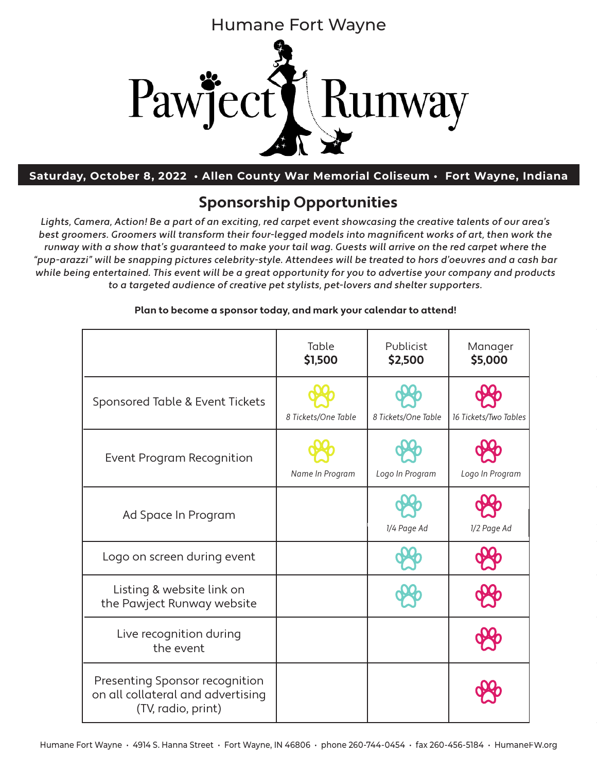

**Saturday, October 9, 2021 • Grand Wayne Center • Fort Wayne, Indiana Saturday, October 8, 2022 • Allen County War Memorial Coliseum • Fort Wayne, Indiana**

# **Sponsorship Opportunities**

Lights, Camera, Action! Be a part of an exciting, red carpet event showcasing the creative talents of our area's best groomers. Groomers will transform their four-legged models into magnificent works of art, then work the runway with a show that's guaranteed to make your tail wag. Guests will arrive on the red carpet where the "pup-arazzi" will be snapping pictures celebrity-style. Attendees will be treated to hors d'oeuvres and a cash bar while being entertained. This event will be a great opportunity for you to advertise your company and products to a targeted audience of creative pet stylists, pet-lovers and shelter supporters.

|                                                                                           | Table<br>\$1,500    | Publicist<br>\$2,500 | Manager<br>\$5,000    |
|-------------------------------------------------------------------------------------------|---------------------|----------------------|-----------------------|
| Sponsored Table & Event Tickets                                                           | 8 Tickets/One Table | 8 Tickets/One Table  | 16 Tickets/Two Tables |
| Event Program Recognition                                                                 | Name In Program     | Logo In Program      | Logo In Program       |
| Ad Space In Program                                                                       |                     | 1/4 Page Ad          | 1/2 Page Ad           |
| Logo on screen during event                                                               |                     |                      |                       |
| Listing & website link on<br>the Pawject Runway website                                   |                     |                      |                       |
| Live recognition during<br>the event                                                      |                     |                      |                       |
| Presenting Sponsor recognition<br>on all collateral and advertising<br>(TV, radio, print) |                     |                      |                       |

#### **Plan to become a sponsor today, and mark your calendar to attend!**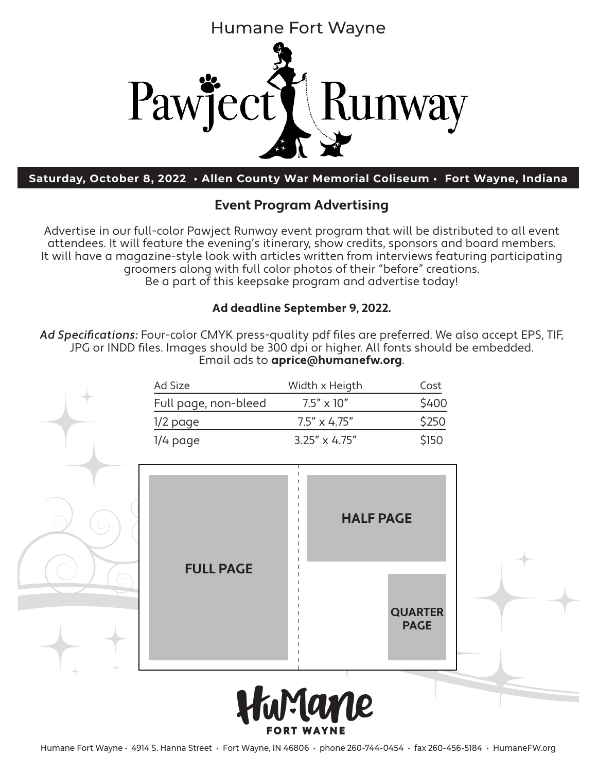

**Saturday, October 8, 2022 • Allen County War Memorial Coliseum • Fort Wayne, Indiana**

### **Event Program Advertising**

Advertise in our full-color Pawject Runway event program that will be distributed to all event attendees. It will feature the evening's itinerary, show credits, sponsors and board members. It will have a magazine-style look with articles written from interviews featuring participating groomers along with full color photos of their "before" creations. Be a part of this keepsake program and advertise today!

#### **Ad deadline September 9, 2022.**

Ad Specifications: Four-color CMYK press-quality pdf files are preferred. We also accept EPS, TIF, JPG or INDD files. Images should be 300 dpi or higher. All fonts should be embedded. Email ads to **aprice@humanefw.org**.

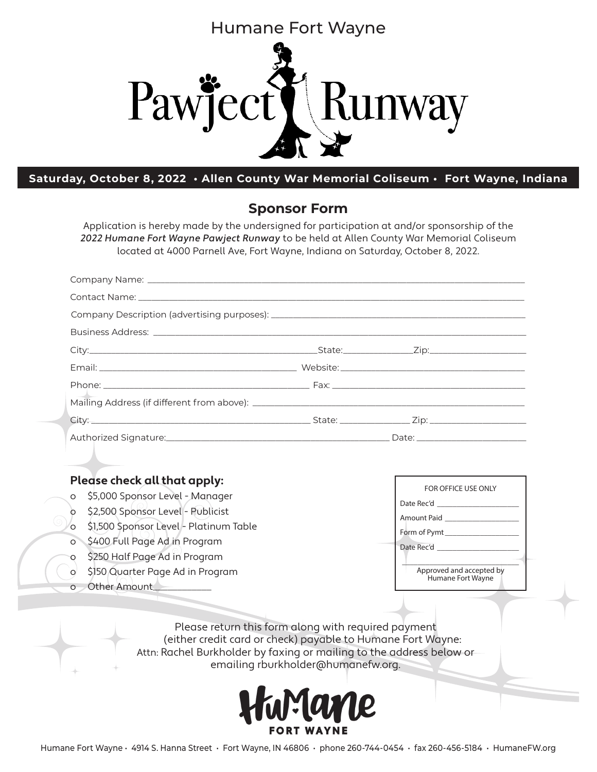

#### **Saturday, October 8, 2022 • Allen County War Memorial Coliseum • Fort Wayne, Indiana**

#### **Sponsor Form**

Application is hereby made by the undersigned for participation at and/or sponsorship of the 2022 Humane Fort Wayne Pawject Runway to be held at Allen County War Memorial Coliseum located at 4000 Parnell Ave, Fort Wayne, Indiana on Saturday, October 8, 2022.

| Contact Name: The Contact Of the Contact Of the Contact Of the Contact Of the Contact Of the Contact Of the Contact Of the Contact Of the Contact Of the Contact Of the Contact Of the Contact Of the Contact Of the Contact O                                                                                                                                     |                                                                                     |
|--------------------------------------------------------------------------------------------------------------------------------------------------------------------------------------------------------------------------------------------------------------------------------------------------------------------------------------------------------------------|-------------------------------------------------------------------------------------|
|                                                                                                                                                                                                                                                                                                                                                                    |                                                                                     |
|                                                                                                                                                                                                                                                                                                                                                                    |                                                                                     |
|                                                                                                                                                                                                                                                                                                                                                                    |                                                                                     |
|                                                                                                                                                                                                                                                                                                                                                                    |                                                                                     |
|                                                                                                                                                                                                                                                                                                                                                                    |                                                                                     |
|                                                                                                                                                                                                                                                                                                                                                                    |                                                                                     |
|                                                                                                                                                                                                                                                                                                                                                                    |                                                                                     |
|                                                                                                                                                                                                                                                                                                                                                                    |                                                                                     |
|                                                                                                                                                                                                                                                                                                                                                                    |                                                                                     |
| Please check all that apply:<br>\$5,000 Sponsor Level - Manager<br>$\circ$<br>\$2,500 Sponsor Level - Publicist<br>$\circ$<br>\$1,500 Sponsor Level - Platinum Table<br>O<br>\$400 Full Page Ad in Program<br>$\circ$<br>\$250 Half Page Ad in Program<br>O<br>\$150 Quarter Page Ad in Program<br>$\circ$<br>Other Amount<br>$\Omega$<br>$\overline{\phantom{0}}$ | FOR OFFICE USE ONLY<br>Amount Paid<br>Approved and accepted by<br>Humane Fort Wayne |

Please return this form along with required payment (either credit card or check) payable to Humane Fort Wayne: Attn: Rachel Burkholder by faxing or mailing to the address below or emailing rburkholder@humanefw.org.